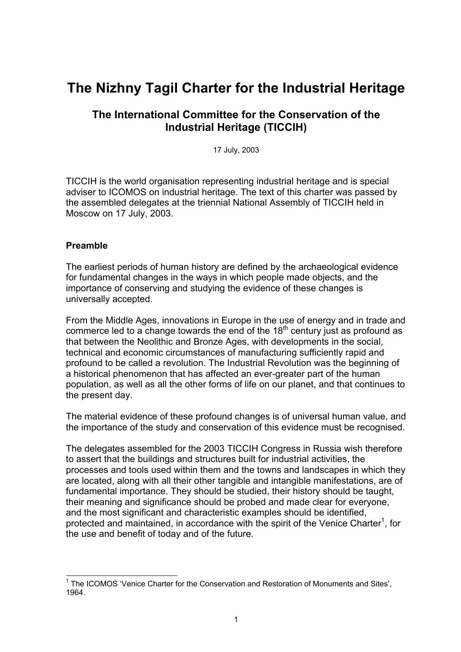# **The Nizhny Tagil Charter for the Industrial Heritage**

# **The International Committee for the Conservation of the Industrial Heritage (TICCIH)**

17 July, 2003

TICCIH is the world organisation representing industrial heritage and is special adviser to ICOMOS on industrial heritage. The text of this charter was passed by the assembled delegates at the triennial National Assembly of TICCIH held in Moscow on 17 July, 2003.

#### **Preamble**

The earliest periods of human history are defined by the archaeological evidence for fundamental changes in the ways in which people made objects, and the importance of conserving and studying the evidence of these changes is universally accepted.

From the Middle Ages, innovations in Europe in the use of energy and in trade and commerce led to a change towards the end of the  $18<sup>th</sup>$  century just as profound as that between the Neolithic and Bronze Ages, with developments in the social, technical and economic circumstances of manufacturing sufficiently rapid and profound to be called a revolution. The Industrial Revolution was the beginning of a historical phenomenon that has affected an ever-greater part of the human population, as well as all the other forms of life on our planet, and that continues to the present day.

The material evidence of these profound changes is of universal human value, and the importance of the study and conservation of this evidence must be recognised.

The delegates assembled for the 2003 TICCIH Congress in Russia wish therefore to assert that the buildings and structures built for industrial activities, the processes and tools used within them and the towns and landscapes in which they are located, along with all their other tangible and intangible manifestations, are of fundamental importance. They should be studied, their history should be taught, their meaning and significance should be probed and made clear for everyone, and the most significant and characteristic examples should be identified, protected and maintained, in accordance with the spirit of the Venice Charter<sup>[1](#page-0-0)</sup>, for the use and benefit of today and of the future.

<span id="page-0-0"></span>THE ICOMOS 'Venice Charter for the Conservation and Restoration of Monuments and Sites', 1964.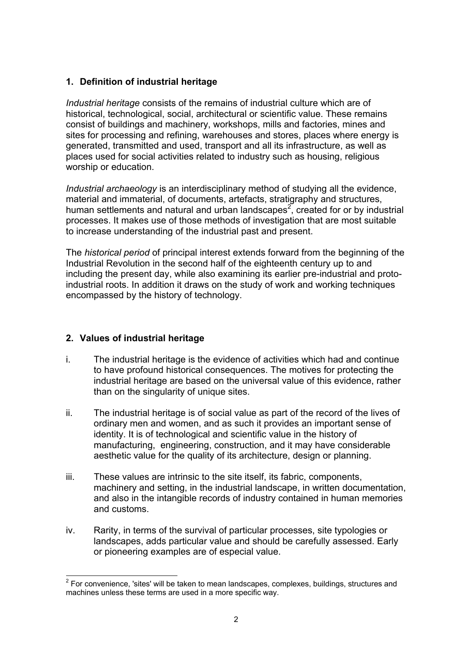# **1. Definition of industrial heritage**

*Industrial heritage* consists of the remains of industrial culture which are of historical, technological, social, architectural or scientific value. These remains consist of buildings and machinery, workshops, mills and factories, mines and sites for processing and refining, warehouses and stores, places where energy is generated, transmitted and used, transport and all its infrastructure, as well as places used for social activities related to industry such as housing, religious worship or education.

*Industrial archaeology* is an interdisciplinary method of studying all the evidence, material and immaterial, of documents, artefacts, stratigraphy and structures, human settlements and natural and urban landscapes<sup>[2](#page-1-0)</sup>, created for or by industrial processes. It makes use of those methods of investigation that are most suitable to increase understanding of the industrial past and present.

The *historical period* of principal interest extends forward from the beginning of the Industrial Revolution in the second half of the eighteenth century up to and including the present day, while also examining its earlier pre-industrial and protoindustrial roots. In addition it draws on the study of work and working techniques encompassed by the history of technology.

## **2. Values of industrial heritage**

- i. The industrial heritage is the evidence of activities which had and continue to have profound historical consequences. The motives for protecting the industrial heritage are based on the universal value of this evidence, rather than on the singularity of unique sites.
- ii. The industrial heritage is of social value as part of the record of the lives of ordinary men and women, and as such it provides an important sense of identity. It is of technological and scientific value in the history of manufacturing, engineering, construction, and it may have considerable aesthetic value for the quality of its architecture, design or planning.
- iii. These values are intrinsic to the site itself, its fabric, components, machinery and setting, in the industrial landscape, in written documentation, and also in the intangible records of industry contained in human memories and customs.
- iv. Rarity, in terms of the survival of particular processes, site typologies or landscapes, adds particular value and should be carefully assessed. Early or pioneering examples are of especial value.

<span id="page-1-0"></span><sup>&</sup>lt;u>2</u><br><sup>2</sup> For convenience, 'sites' will be taken to mean landscapes, complexes, buildings, structures and machines unless these terms are used in a more specific way.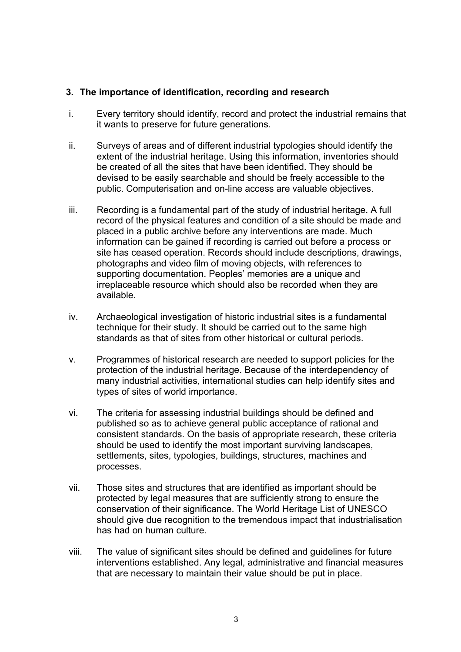#### **3. The importance of identification, recording and research**

- i. Every territory should identify, record and protect the industrial remains that it wants to preserve for future generations.
- ii. Surveys of areas and of different industrial typologies should identify the extent of the industrial heritage. Using this information, inventories should be created of all the sites that have been identified. They should be devised to be easily searchable and should be freely accessible to the public. Computerisation and on-line access are valuable objectives.
- iii. Recording is a fundamental part of the study of industrial heritage. A full record of the physical features and condition of a site should be made and placed in a public archive before any interventions are made. Much information can be gained if recording is carried out before a process or site has ceased operation. Records should include descriptions, drawings, photographs and video film of moving objects, with references to supporting documentation. Peoples' memories are a unique and irreplaceable resource which should also be recorded when they are available.
- iv. Archaeological investigation of historic industrial sites is a fundamental technique for their study. It should be carried out to the same high standards as that of sites from other historical or cultural periods.
- v. Programmes of historical research are needed to support policies for the protection of the industrial heritage. Because of the interdependency of many industrial activities, international studies can help identify sites and types of sites of world importance.
- vi. The criteria for assessing industrial buildings should be defined and published so as to achieve general public acceptance of rational and consistent standards. On the basis of appropriate research, these criteria should be used to identify the most important surviving landscapes, settlements, sites, typologies, buildings, structures, machines and processes.
- vii. Those sites and structures that are identified as important should be protected by legal measures that are sufficiently strong to ensure the conservation of their significance. The World Heritage List of UNESCO should give due recognition to the tremendous impact that industrialisation has had on human culture.
- viii. The value of significant sites should be defined and guidelines for future interventions established. Any legal, administrative and financial measures that are necessary to maintain their value should be put in place.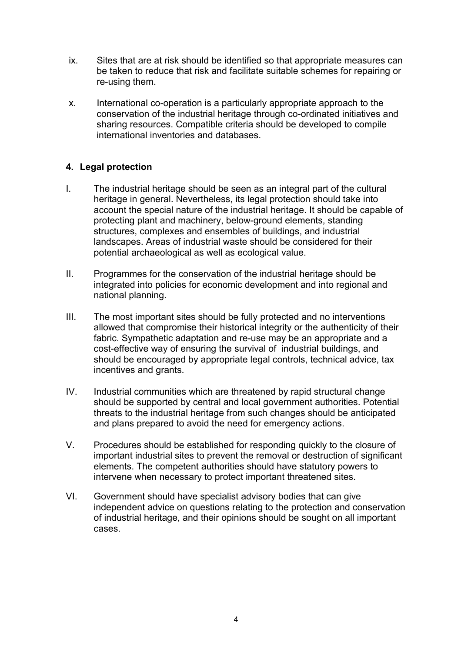- ix. Sites that are at risk should be identified so that appropriate measures can be taken to reduce that risk and facilitate suitable schemes for repairing or re-using them.
- x. International co-operation is a particularly appropriate approach to the conservation of the industrial heritage through co-ordinated initiatives and sharing resources. Compatible criteria should be developed to compile international inventories and databases.

## **4. Legal protection**

- I. The industrial heritage should be seen as an integral part of the cultural heritage in general. Nevertheless, its legal protection should take into account the special nature of the industrial heritage. It should be capable of protecting plant and machinery, below-ground elements, standing structures, complexes and ensembles of buildings, and industrial landscapes. Areas of industrial waste should be considered for their potential archaeological as well as ecological value.
- II. Programmes for the conservation of the industrial heritage should be integrated into policies for economic development and into regional and national planning.
- III. The most important sites should be fully protected and no interventions allowed that compromise their historical integrity or the authenticity of their fabric. Sympathetic adaptation and re-use may be an appropriate and a cost-effective way of ensuring the survival of industrial buildings, and should be encouraged by appropriate legal controls, technical advice, tax incentives and grants.
- IV. Industrial communities which are threatened by rapid structural change should be supported by central and local government authorities. Potential threats to the industrial heritage from such changes should be anticipated and plans prepared to avoid the need for emergency actions.
- V. Procedures should be established for responding quickly to the closure of important industrial sites to prevent the removal or destruction of significant elements. The competent authorities should have statutory powers to intervene when necessary to protect important threatened sites.
- VI. Government should have specialist advisory bodies that can give independent advice on questions relating to the protection and conservation of industrial heritage, and their opinions should be sought on all important cases.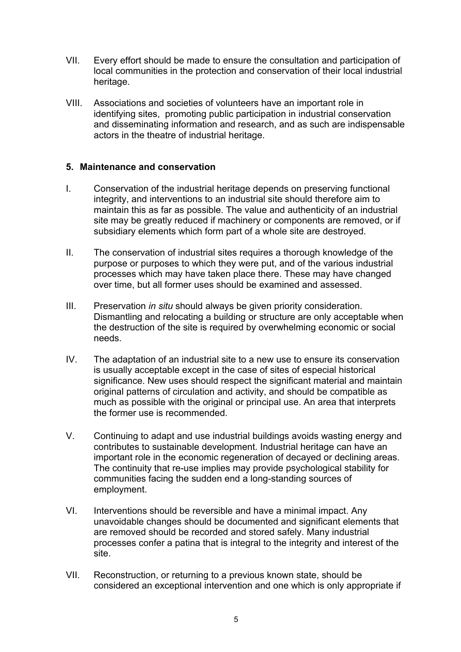- VII. Every effort should be made to ensure the consultation and participation of local communities in the protection and conservation of their local industrial heritage.
- VIII. Associations and societies of volunteers have an important role in identifying sites, promoting public participation in industrial conservation and disseminating information and research, and as such are indispensable actors in the theatre of industrial heritage.

#### **5. Maintenance and conservation**

- I. Conservation of the industrial heritage depends on preserving functional integrity, and interventions to an industrial site should therefore aim to maintain this as far as possible. The value and authenticity of an industrial site may be greatly reduced if machinery or components are removed, or if subsidiary elements which form part of a whole site are destroyed.
- II. The conservation of industrial sites requires a thorough knowledge of the purpose or purposes to which they were put, and of the various industrial processes which may have taken place there. These may have changed over time, but all former uses should be examined and assessed.
- III. Preservation *in situ* should always be given priority consideration. Dismantling and relocating a building or structure are only acceptable when the destruction of the site is required by overwhelming economic or social needs.
- IV. The adaptation of an industrial site to a new use to ensure its conservation is usually acceptable except in the case of sites of especial historical significance. New uses should respect the significant material and maintain original patterns of circulation and activity, and should be compatible as much as possible with the original or principal use. An area that interprets the former use is recommended.
- V. Continuing to adapt and use industrial buildings avoids wasting energy and contributes to sustainable development. Industrial heritage can have an important role in the economic regeneration of decayed or declining areas. The continuity that re-use implies may provide psychological stability for communities facing the sudden end a long-standing sources of employment.
- VI. Interventions should be reversible and have a minimal impact. Any unavoidable changes should be documented and significant elements that are removed should be recorded and stored safely. Many industrial processes confer a patina that is integral to the integrity and interest of the site.
- VII. Reconstruction, or returning to a previous known state, should be considered an exceptional intervention and one which is only appropriate if